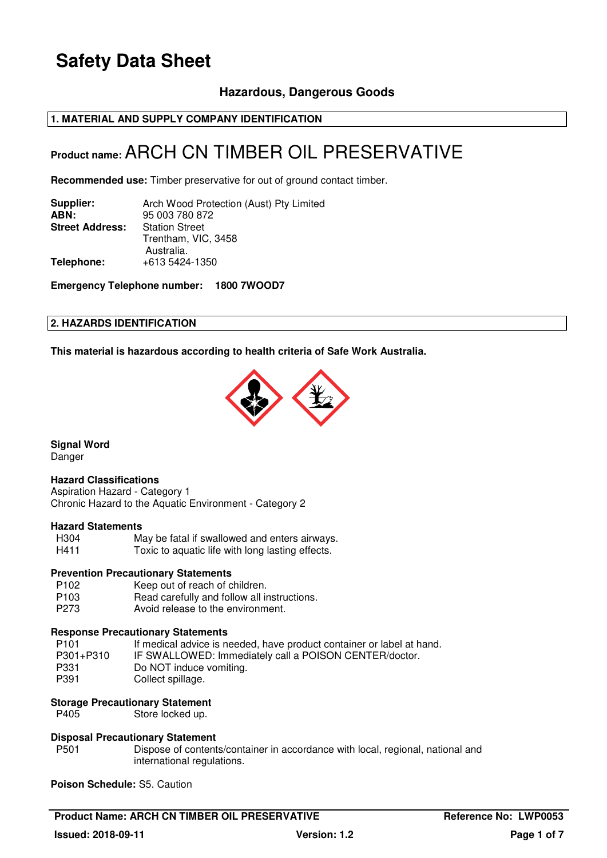### **Hazardous, Dangerous Goods**

### **1. MATERIAL AND SUPPLY COMPANY IDENTIFICATION**

## **Product name:** ARCH CN TIMBER OIL PRESERVATIVE

**Recommended use:** Timber preservative for out of ground contact timber.

| Supplier:              | Arch Wood Protection (Aust) Pty Limited |
|------------------------|-----------------------------------------|
| ABN:                   | 95 003 780 872                          |
| <b>Street Address:</b> | <b>Station Street</b>                   |
|                        | Trentham, VIC, 3458                     |
|                        | Australia.                              |
| Telephone:             | +613 5424-1350                          |
|                        |                                         |

**Emergency Telephone number: 1800 7WOOD7**

### **2. HAZARDS IDENTIFICATION**

**This material is hazardous according to health criteria of Safe Work Australia.**



**Signal Word** 

Danger

### **Hazard Classifications**

Aspiration Hazard - Category 1 Chronic Hazard to the Aquatic Environment - Category 2

### **Hazard Statements**

May be fatal if swallowed and enters airways. H411 Toxic to aquatic life with long lasting effects.

#### **Prevention Precautionary Statements**

P102 Keep out of reach of children.<br>P103 Read carefully and follow all in Read carefully and follow all instructions. P273 Avoid release to the environment.

### **Response Precautionary Statements**

| P <sub>101</sub> | If medical advice is needed, have product container or label at hand. |
|------------------|-----------------------------------------------------------------------|
| P301+P310        | IF SWALLOWED: Immediately call a POISON CENTER/doctor.                |
| P331             | Do NOT induce vomiting.                                               |
| P391             | Collect spillage.                                                     |

### **Storage Precautionary Statement**

P405 Store locked up.

### **Disposal Precautionary Statement**

P501 Dispose of contents/container in accordance with local, regional, national and international regulations.

**Poison Schedule:** S5. Caution

**Product Name: ARCH CN TIMBER OIL PRESERVATIVE THE REFERENT REFERENCE REFERENCE REFERENCE AT A PROOF PROOF AND REFERENCE Issued: 2018-09-11 Version: 1.2 Page 1 of 7**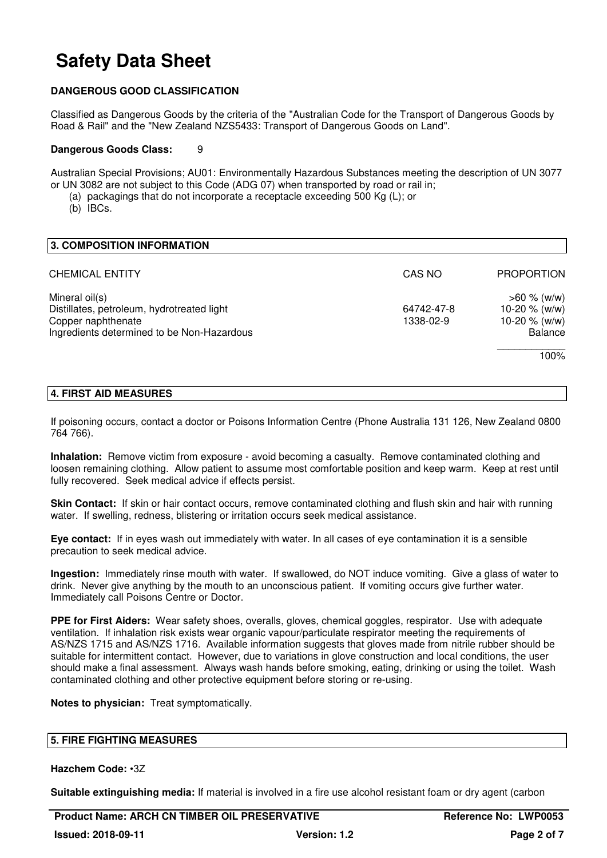### **DANGEROUS GOOD CLASSIFICATION**

Classified as Dangerous Goods by the criteria of the "Australian Code for the Transport of Dangerous Goods by Road & Rail" and the "New Zealand NZS5433: Transport of Dangerous Goods on Land".

#### **Dangerous Goods Class:** 9

Australian Special Provisions; AU01: Environmentally Hazardous Substances meeting the description of UN 3077 or UN 3082 are not subject to this Code (ADG 07) when transported by road or rail in;

- (a) packagings that do not incorporate a receptacle exceeding 500 Kg (L); or
- (b) IBCs.

| 3. COMPOSITION INFORMATION                                                                                                       |                         |                                                                                |
|----------------------------------------------------------------------------------------------------------------------------------|-------------------------|--------------------------------------------------------------------------------|
| <b>CHEMICAL ENTITY</b>                                                                                                           | CAS NO                  | <b>PROPORTION</b>                                                              |
| Mineral oil(s)<br>Distillates, petroleum, hydrotreated light<br>Copper naphthenate<br>Ingredients determined to be Non-Hazardous | 64742-47-8<br>1338-02-9 | $>60 \%$ (w/w)<br>10-20 $% (w/w)$<br>10-20 $% (w/w)$<br><b>Balance</b><br>100% |

### **4. FIRST AID MEASURES**

If poisoning occurs, contact a doctor or Poisons Information Centre (Phone Australia 131 126, New Zealand 0800 764 766).

**Inhalation:** Remove victim from exposure - avoid becoming a casualty. Remove contaminated clothing and loosen remaining clothing. Allow patient to assume most comfortable position and keep warm. Keep at rest until fully recovered. Seek medical advice if effects persist.

**Skin Contact:** If skin or hair contact occurs, remove contaminated clothing and flush skin and hair with running water. If swelling, redness, blistering or irritation occurs seek medical assistance.

**Eye contact:** If in eyes wash out immediately with water. In all cases of eye contamination it is a sensible precaution to seek medical advice.

**Ingestion:** Immediately rinse mouth with water. If swallowed, do NOT induce vomiting. Give a glass of water to drink. Never give anything by the mouth to an unconscious patient. If vomiting occurs give further water. Immediately call Poisons Centre or Doctor.

**PPE for First Aiders:** Wear safety shoes, overalls, gloves, chemical goggles, respirator. Use with adequate ventilation. If inhalation risk exists wear organic vapour/particulate respirator meeting the requirements of AS/NZS 1715 and AS/NZS 1716. Available information suggests that gloves made from nitrile rubber should be suitable for intermittent contact. However, due to variations in glove construction and local conditions, the user should make a final assessment. Always wash hands before smoking, eating, drinking or using the toilet. Wash contaminated clothing and other protective equipment before storing or re-using.

**Notes to physician:** Treat symptomatically.

### **5. FIRE FIGHTING MEASURES**

### **Hazchem Code:** •3Z

**Suitable extinguishing media:** If material is involved in a fire use alcohol resistant foam or dry agent (carbon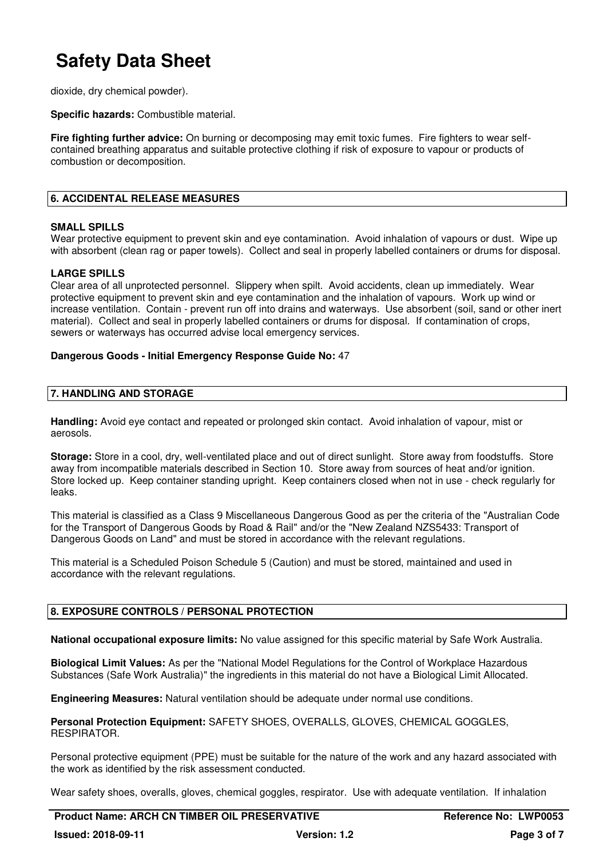dioxide, dry chemical powder).

**Specific hazards:** Combustible material.

**Fire fighting further advice:** On burning or decomposing may emit toxic fumes. Fire fighters to wear selfcontained breathing apparatus and suitable protective clothing if risk of exposure to vapour or products of combustion or decomposition.

### **6. ACCIDENTAL RELEASE MEASURES**

### **SMALL SPILLS**

Wear protective equipment to prevent skin and eye contamination. Avoid inhalation of vapours or dust. Wipe up with absorbent (clean rag or paper towels). Collect and seal in properly labelled containers or drums for disposal.

### **LARGE SPILLS**

Clear area of all unprotected personnel. Slippery when spilt. Avoid accidents, clean up immediately. Wear protective equipment to prevent skin and eye contamination and the inhalation of vapours. Work up wind or increase ventilation. Contain - prevent run off into drains and waterways. Use absorbent (soil, sand or other inert material). Collect and seal in properly labelled containers or drums for disposal. If contamination of crops, sewers or waterways has occurred advise local emergency services.

### **Dangerous Goods - Initial Emergency Response Guide No:** 47

### **7. HANDLING AND STORAGE**

**Handling:** Avoid eye contact and repeated or prolonged skin contact. Avoid inhalation of vapour, mist or aerosols.

**Storage:** Store in a cool, dry, well-ventilated place and out of direct sunlight. Store away from foodstuffs. Store away from incompatible materials described in Section 10. Store away from sources of heat and/or ignition. Store locked up. Keep container standing upright. Keep containers closed when not in use - check regularly for leaks.

This material is classified as a Class 9 Miscellaneous Dangerous Good as per the criteria of the "Australian Code for the Transport of Dangerous Goods by Road & Rail" and/or the "New Zealand NZS5433: Transport of Dangerous Goods on Land" and must be stored in accordance with the relevant regulations.

This material is a Scheduled Poison Schedule 5 (Caution) and must be stored, maintained and used in accordance with the relevant regulations.

### **8. EXPOSURE CONTROLS / PERSONAL PROTECTION**

**National occupational exposure limits:** No value assigned for this specific material by Safe Work Australia.

**Biological Limit Values:** As per the "National Model Regulations for the Control of Workplace Hazardous Substances (Safe Work Australia)" the ingredients in this material do not have a Biological Limit Allocated.

**Engineering Measures:** Natural ventilation should be adequate under normal use conditions.

**Personal Protection Equipment:** SAFETY SHOES, OVERALLS, GLOVES, CHEMICAL GOGGLES, RESPIRATOR.

Personal protective equipment (PPE) must be suitable for the nature of the work and any hazard associated with the work as identified by the risk assessment conducted.

Wear safety shoes, overalls, gloves, chemical goggles, respirator. Use with adequate ventilation. If inhalation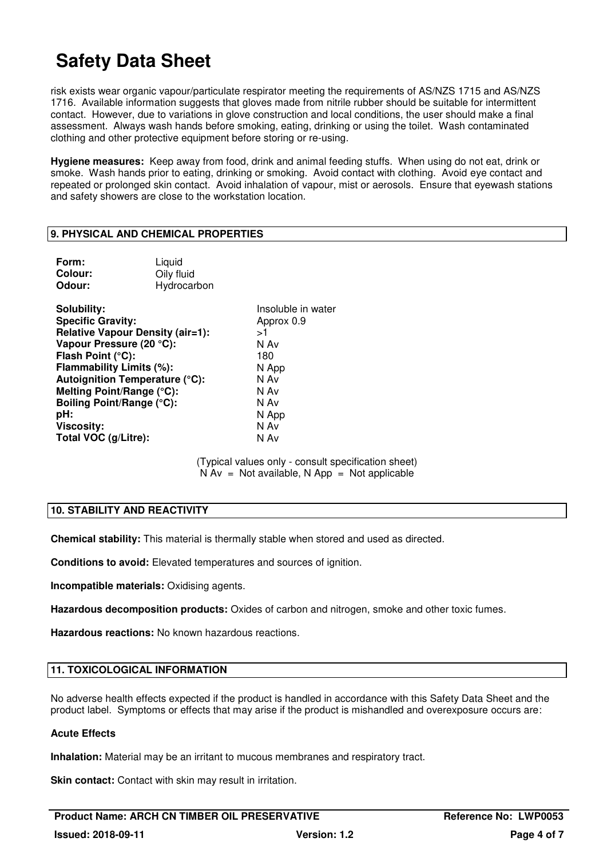risk exists wear organic vapour/particulate respirator meeting the requirements of AS/NZS 1715 and AS/NZS 1716. Available information suggests that gloves made from nitrile rubber should be suitable for intermittent contact. However, due to variations in glove construction and local conditions, the user should make a final assessment. Always wash hands before smoking, eating, drinking or using the toilet. Wash contaminated clothing and other protective equipment before storing or re-using.

**Hygiene measures:** Keep away from food, drink and animal feeding stuffs. When using do not eat, drink or smoke. Wash hands prior to eating, drinking or smoking. Avoid contact with clothing. Avoid eye contact and repeated or prolonged skin contact. Avoid inhalation of vapour, mist or aerosols. Ensure that eyewash stations and safety showers are close to the workstation location.

### **9. PHYSICAL AND CHEMICAL PROPERTIES**

| Form:<br>Colour:<br>Odour:                                                                                                                                                                                                         | Liquid<br>Oily fluid<br>Hydrocarbon                                       |                                                                                                                 |
|------------------------------------------------------------------------------------------------------------------------------------------------------------------------------------------------------------------------------------|---------------------------------------------------------------------------|-----------------------------------------------------------------------------------------------------------------|
| Solubility:<br><b>Specific Gravity:</b><br>Vapour Pressure (20 °C):<br>Flash Point (°C):<br>Flammability Limits (%):<br>Melting Point/Range (°C):<br>Boiling Point/Range (°C):<br>pH:<br><b>Viscosity:</b><br>Total VOC (g/Litre): | <b>Relative Vapour Density (air=1):</b><br>Autoignition Temperature (°C): | Insoluble in water<br>Approx 0.9<br>>1<br>N Av<br>180<br>N App<br>N Av<br>N Av<br>N Av<br>N App<br>N Av<br>N Av |
|                                                                                                                                                                                                                                    |                                                                           | (Tynical values only - consult specifics                                                                        |

(Typical values only - consult specification sheet)  $N Av = Not available, N App = Not applicable$ 

### **10. STABILITY AND REACTIVITY**

**Chemical stability:** This material is thermally stable when stored and used as directed.

**Conditions to avoid:** Elevated temperatures and sources of ignition.

**Incompatible materials:** Oxidising agents.

**Hazardous decomposition products:** Oxides of carbon and nitrogen, smoke and other toxic fumes.

**Hazardous reactions:** No known hazardous reactions.

### **11. TOXICOLOGICAL INFORMATION**

No adverse health effects expected if the product is handled in accordance with this Safety Data Sheet and the product label. Symptoms or effects that may arise if the product is mishandled and overexposure occurs are:

### **Acute Effects**

**Inhalation:** Material may be an irritant to mucous membranes and respiratory tract.

**Skin contact:** Contact with skin may result in irritation.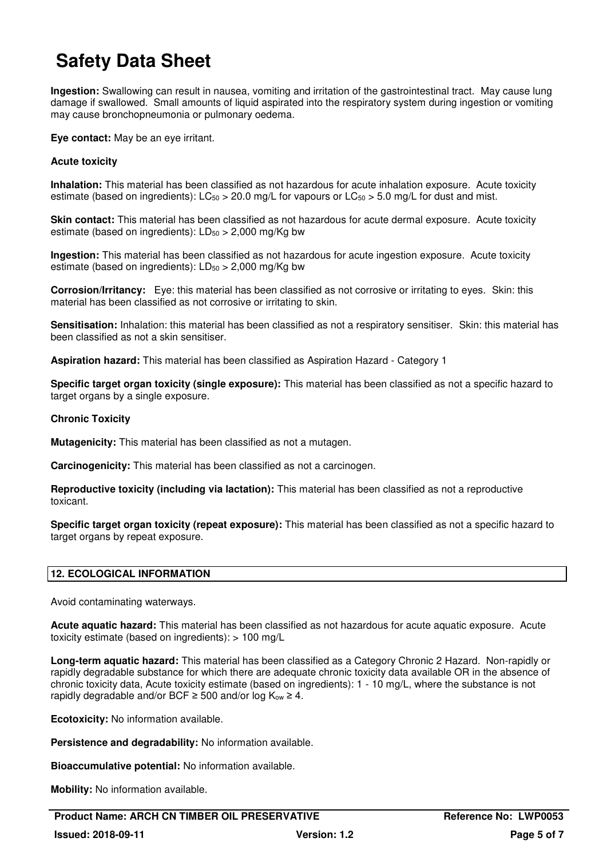**Ingestion:** Swallowing can result in nausea, vomiting and irritation of the gastrointestinal tract. May cause lung damage if swallowed. Small amounts of liquid aspirated into the respiratory system during ingestion or vomiting may cause bronchopneumonia or pulmonary oedema.

**Eye contact:** May be an eye irritant.

### **Acute toxicity**

**Inhalation:** This material has been classified as not hazardous for acute inhalation exposure. Acute toxicity estimate (based on ingredients):  $LC_{50} > 20.0$  mg/L for vapours or  $LC_{50} > 5.0$  mg/L for dust and mist.

**Skin contact:** This material has been classified as not hazardous for acute dermal exposure. Acute toxicity estimate (based on ingredients):  $LD_{50} > 2,000$  mg/Kg bw

**Ingestion:** This material has been classified as not hazardous for acute ingestion exposure. Acute toxicity estimate (based on ingredients):  $LD_{50} > 2,000$  mg/Kg bw

**Corrosion/Irritancy:** Eye: this material has been classified as not corrosive or irritating to eyes. Skin: this material has been classified as not corrosive or irritating to skin.

**Sensitisation:** Inhalation: this material has been classified as not a respiratory sensitiser. Skin: this material has been classified as not a skin sensitiser.

**Aspiration hazard:** This material has been classified as Aspiration Hazard - Category 1

**Specific target organ toxicity (single exposure):** This material has been classified as not a specific hazard to target organs by a single exposure.

### **Chronic Toxicity**

**Mutagenicity:** This material has been classified as not a mutagen.

**Carcinogenicity:** This material has been classified as not a carcinogen.

**Reproductive toxicity (including via lactation):** This material has been classified as not a reproductive toxicant.

**Specific target organ toxicity (repeat exposure):** This material has been classified as not a specific hazard to target organs by repeat exposure.

### **12. ECOLOGICAL INFORMATION**

Avoid contaminating waterways.

**Acute aquatic hazard:** This material has been classified as not hazardous for acute aquatic exposure. Acute toxicity estimate (based on ingredients): > 100 mg/L

**Long-term aquatic hazard:** This material has been classified as a Category Chronic 2 Hazard. Non-rapidly or rapidly degradable substance for which there are adequate chronic toxicity data available OR in the absence of chronic toxicity data, Acute toxicity estimate (based on ingredients): 1 - 10 mg/L, where the substance is not rapidly degradable and/or BCF  $\geq$  500 and/or log K<sub>ow</sub>  $\geq$  4.

**Ecotoxicity:** No information available.

**Persistence and degradability:** No information available.

**Bioaccumulative potential:** No information available.

**Mobility:** No information available.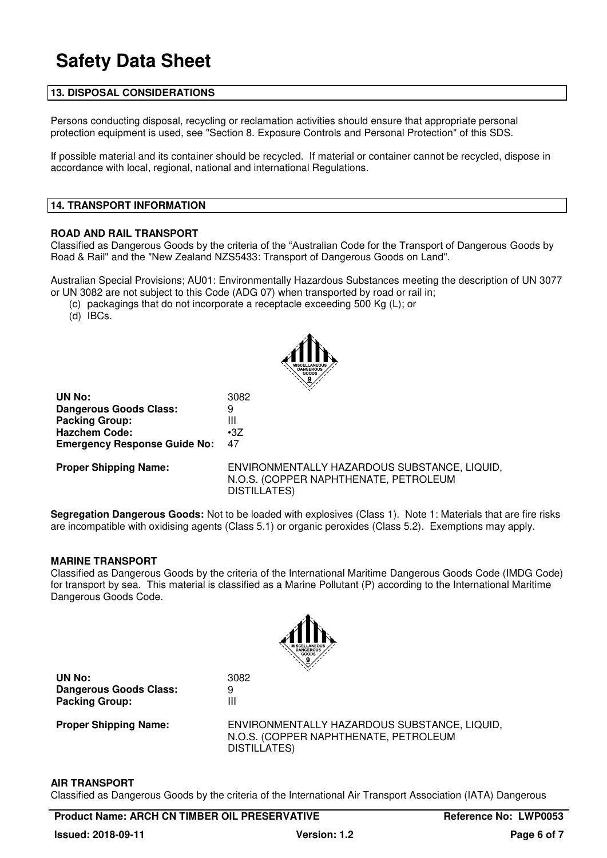### **13. DISPOSAL CONSIDERATIONS**

Persons conducting disposal, recycling or reclamation activities should ensure that appropriate personal protection equipment is used, see "Section 8. Exposure Controls and Personal Protection" of this SDS.

If possible material and its container should be recycled. If material or container cannot be recycled, dispose in accordance with local, regional, national and international Regulations.

#### **14. TRANSPORT INFORMATION**

#### **ROAD AND RAIL TRANSPORT**

Classified as Dangerous Goods by the criteria of the "Australian Code for the Transport of Dangerous Goods by Road & Rail" and the "New Zealand NZS5433: Transport of Dangerous Goods on Land".

Australian Special Provisions; AU01: Environmentally Hazardous Substances meeting the description of UN 3077 or UN 3082 are not subject to this Code (ADG 07) when transported by road or rail in;

(c) packagings that do not incorporate a receptacle exceeding 500 Kg (L); or

(d) IBCs.



**UN No:** 3082 **Dangerous Goods Class:** 9<br>**Packing Group:** 11 **Packing Group: Hazchem Code:** •3Z **Emergency Response Guide No:** 47

**Proper Shipping Name:** ENVIRONMENTALLY HAZARDOUS SUBSTANCE, LIQUID, N.O.S. (COPPER NAPHTHENATE, PETROLEUM DISTILLATES)

**Segregation Dangerous Goods:** Not to be loaded with explosives (Class 1). Note 1: Materials that are fire risks are incompatible with oxidising agents (Class 5.1) or organic peroxides (Class 5.2). Exemptions may apply.

#### **MARINE TRANSPORT**

Classified as Dangerous Goods by the criteria of the International Maritime Dangerous Goods Code (IMDG Code) for transport by sea. This material is classified as a Marine Pollutant (P) according to the International Maritime Dangerous Goods Code.



**UN No:** 3082 **Dangerous Goods Class:** 9 **Packing Group:** III

**Proper Shipping Name:** ENVIRONMENTALLY HAZARDOUS SUBSTANCE, LIQUID, N.O.S. (COPPER NAPHTHENATE, PETROLEUM DISTILLATES)

#### **AIR TRANSPORT**

Classified as Dangerous Goods by the criteria of the International Air Transport Association (IATA) Dangerous